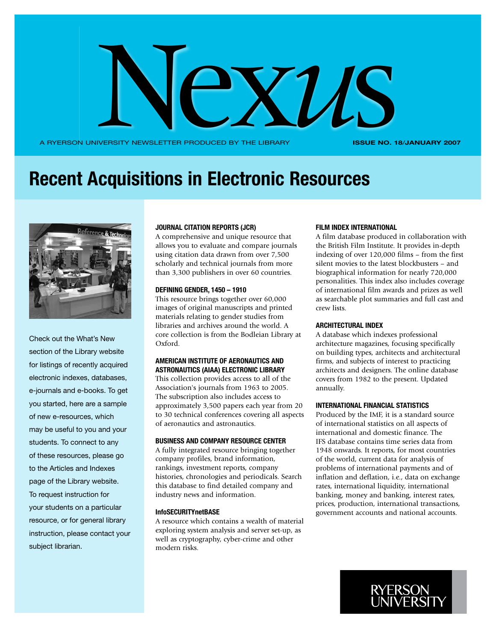

A RYERSON UNIVERSITY NEWSLETTER PRODUCED BY THE LIBRARY

**Issue No. 18**/**JANUARY 2007**

# **Recent Acquisitions in Electronic Resources**



Check out the What's New section of the Library website for listings of recently acquired electronic indexes, databases, e-journals and e-books. To get you started, here are a sample of new e-resources, which may be useful to you and your students. To connect to any of these resources, please go to the Articles and Indexes page of the Library website. To request instruction for your students on a particular resource, or for general library instruction, please contact your subject librarian.

#### **Journal Citation Reports (JCR)**

A comprehensive and unique resource that allows you to evaluate and compare journals using citation data drawn from over 7,500 scholarly and technical journals from more than 3,300 publishers in over 60 countries.

## **Defining Gender, 1450 – 1910**

This resource brings together over 60,000 images of original manuscripts and printed materials relating to gender studies from libraries and archives around the world. A core collection is from the Bodleian Library at Oxford.

## **American Institute of Aeronautics and Astronautics (AIAA) Electronic Library**

This collection provides access to all of the Association's journals from 1963 to 2005. The subscription also includes access to approximately 3,500 papers each year from 20 to 30 technical conferences covering all aspects of aeronautics and astronautics.

### **Business and Company Resource Center**

A fully integrated resource bringing together company profiles, brand information, rankings, investment reports, company histories, chronologies and periodicals. Search this database to find detailed company and industry news and information.

### **InfoSECURITYnetBASE**

A resource which contains a wealth of material exploring system analysis and server set-up, as well as cryptography, cyber-crime and other modern risks.

#### **Film Index International**

A film database produced in collaboration with the British Film Institute. It provides in-depth indexing of over 120,000 films – from the first silent movies to the latest blockbusters – and biographical information for nearly 720,000 personalities. This index also includes coverage of international film awards and prizes as well as searchable plot summaries and full cast and crew lists.

## **Architectural Index**

A database which indexes professional architecture magazines, focusing specifically on building types, architects and architectural firms, and subjects of interest to practicing architects and designers. The online database covers from 1982 to the present. Updated annually.

#### **International Financial Statistics**

Produced by the IMF, it is a standard source of international statistics on all aspects of international and domestic finance. The IFS database contains time series data from 1948 onwards. It reports, for most countries of the world, current data for analysis of problems of international payments and of inflation and deflation, i.e., data on exchange rates, international liquidity, international banking, money and banking, interest rates, prices, production, international transactions, government accounts and national accounts.

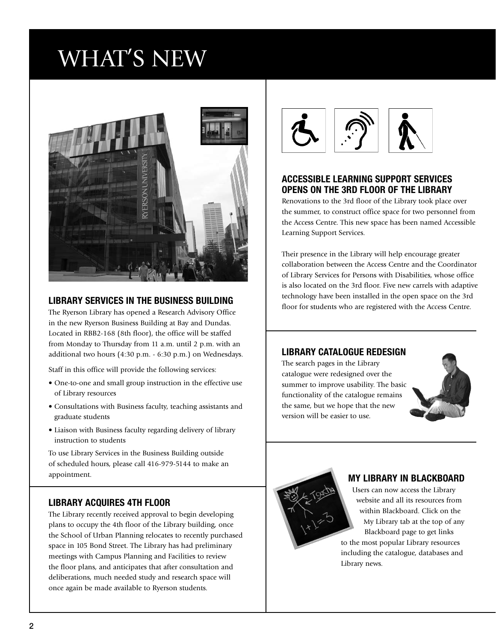# WHAT'S NEW



## **Library Services in the Business Building**

The Ryerson Library has opened a Research Advisory Office in the new Ryerson Business Building at Bay and Dundas. Located in RBB2-168 (8th floor), the office will be staffed from Monday to Thursday from 11 a.m. until 2 p.m. with an additional two hours (4:30 p.m. - 6:30 p.m.) on Wednesdays.

Staff in this office will provide the following services:

- One-to-one and small group instruction in the effective use of Library resources
- Consultations with Business faculty, teaching assistants and graduate students
- Liaison with Business faculty regarding delivery of library instruction to students

To use Library Services in the Business Building outside of scheduled hours, please call 416-979-5144 to make an appointment.

## **Library acquires 4th floor**

The Library recently received approval to begin developing plans to occupy the 4th floor of the Library building, once the School of Urban Planning relocates to recently purchased space in 105 Bond Street. The Library has had preliminary meetings with Campus Planning and Facilities to review the floor plans, and anticipates that after consultation and deliberations, much needed study and research space will once again be made available to Ryerson students.



## **Accessible Learning support services Opens on the 3rd floor of the Library**

Renovations to the 3rd floor of the Library took place over the summer, to construct office space for two personnel from the Access Centre. This new space has been named Accessible Learning Support Services.

Their presence in the Library will help encourage greater collaboration between the Access Centre and the Coordinator of Library Services for Persons with Disabilities, whose office is also located on the 3rd floor. Five new carrels with adaptive technology have been installed in the open space on the 3rd floor for students who are registered with the Access Centre.

## **Library Catalogue Redesign**

The search pages in the Library catalogue were redesigned over the summer to improve usability. The basic functionality of the catalogue remains the same, but we hope that the new version will be easier to use.





## **My Library in Blackboard**

Users can now access the Library website and all its resources from within Blackboard. Click on the My Library tab at the top of any Blackboard page to get links to the most popular Library resources including the catalogue, databases and Library news.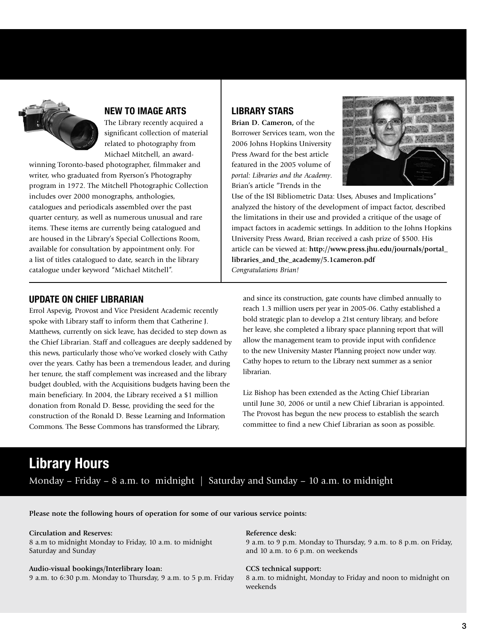

## **New to Image Arts**

The Library recently acquired a significant collection of material related to photography from Michael Mitchell, an award-

winning Toronto-based photographer, filmmaker and writer, who graduated from Ryerson's Photography program in 1972. The Mitchell Photographic Collection includes over 2000 monographs, anthologies, catalogues and periodicals assembled over the past quarter century, as well as numerous unusual and rare items. These items are currently being catalogued and are housed in the Library's Special Collections Room, available for consultation by appointment only. For a list of titles catalogued to date, search in the library catalogue under keyword "Michael Mitchell".

## **Library Stars**

**Brian D. Cameron,** of the Borrower Services team, won the 2006 Johns Hopkins University Press Award for the best article featured in the 2005 volume of *portal: Libraries and the Academy*. Brian's article "Trends in the



Use of the ISI Bibliometric Data: Uses, Abuses and Implications" analyzed the history of the development of impact factor, described the limitations in their use and provided a critique of the usage of impact factors in academic settings. In addition to the Johns Hopkins University Press Award, Brian received a cash prize of \$500. His article can be viewed at: **http://www.press.jhu.edu/journals/portal\_ libraries\_and\_the\_academy/5.1cameron.pdf** *Congratulations Brian!*

## **Update on chief librarian**

Errol Aspevig, Provost and Vice President Academic recently spoke with Library staff to inform them that Catherine J. Matthews, currently on sick leave, has decided to step down as the Chief Librarian. Staff and colleagues are deeply saddened by this news, particularly those who've worked closely with Cathy over the years. Cathy has been a tremendous leader, and during her tenure, the staff complement was increased and the library budget doubled, with the Acquisitions budgets having been the main beneficiary. In 2004, the Library received a \$1 million donation from Ronald D. Besse, providing the seed for the construction of the Ronald D. Besse Learning and Information Commons. The Besse Commons has transformed the Library,

and since its construction, gate counts have climbed annually to reach 1.3 million users per year in 2005-06. Cathy established a bold strategic plan to develop a 21st century library, and before her leave, she completed a library space planning report that will allow the management team to provide input with confidence to the new University Master Planning project now under way. Cathy hopes to return to the Library next summer as a senior librarian.

Liz Bishop has been extended as the Acting Chief Librarian until June 30, 2006 or until a new Chief Librarian is appointed. The Provost has begun the new process to establish the search committee to find a new Chief Librarian as soon as possible.

## **Library Hours**

Monday – Friday – 8 a.m. to midnight  $\vert$  Saturday and Sunday – 10 a.m. to midnight

**Please note the following hours of operation for some of our various service points:**

#### **Circulation and Reserves:**

8 a.m to midnight Monday to Friday, 10 a.m. to midnight Saturday and Sunday

#### **Audio-visual bookings/Interlibrary loan:**

9 a.m. to 6:30 p.m. Monday to Thursday, 9 a.m. to 5 p.m. Friday

#### **Reference desk:**

9 a.m. to 9 p.m. Monday to Thursday, 9 a.m. to 8 p.m. on Friday, and 10 a.m. to 6 p.m. on weekends

#### **CCS technical support:**

8 a.m. to midnight, Monday to Friday and noon to midnight on weekends